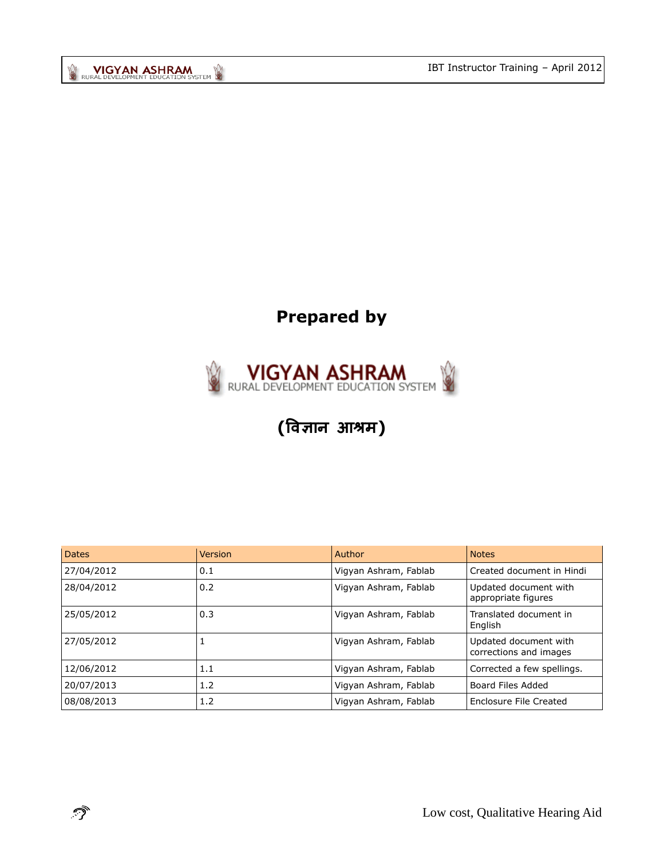ි

# **Prepared by**



# **(विज्ञान आश्रम)**

| <b>Dates</b> | Version | Author                | <b>Notes</b>                                    |
|--------------|---------|-----------------------|-------------------------------------------------|
| 27/04/2012   | 0.1     | Vigyan Ashram, Fablab | Created document in Hindi                       |
| 28/04/2012   | 0.2     | Vigyan Ashram, Fablab | Updated document with<br>appropriate figures    |
| 25/05/2012   | 0.3     | Vigyan Ashram, Fablab | Translated document in<br>English               |
| 27/05/2012   |         | Vigyan Ashram, Fablab | Updated document with<br>corrections and images |
| 12/06/2012   | 1.1     | Vigyan Ashram, Fablab | Corrected a few spellings.                      |
| 20/07/2013   | 1.2     | Vigyan Ashram, Fablab | Board Files Added                               |
| 08/08/2013   | 1.2     | Vigyan Ashram, Fablab | Enclosure File Created                          |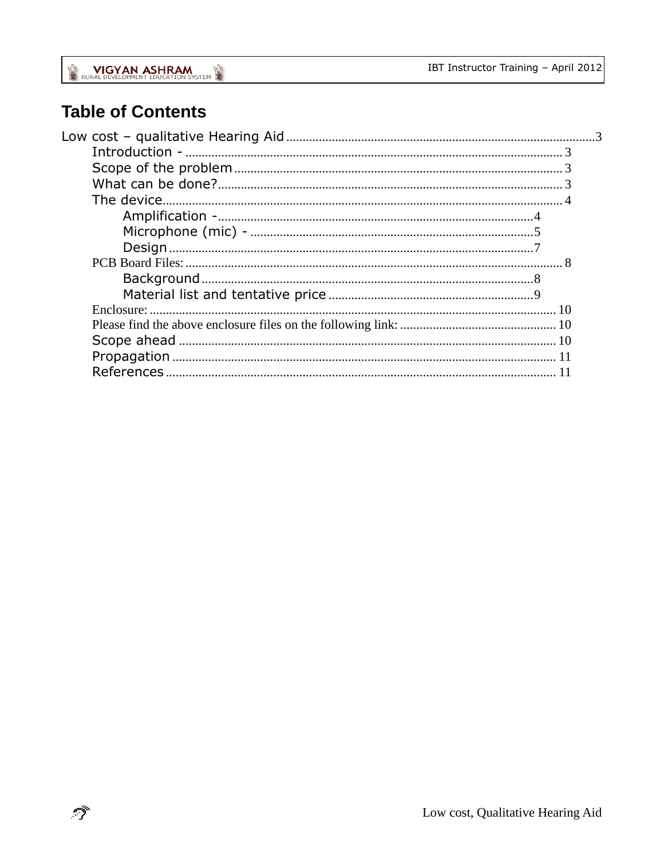# **Table of Contents**

 $\mathcal{D}$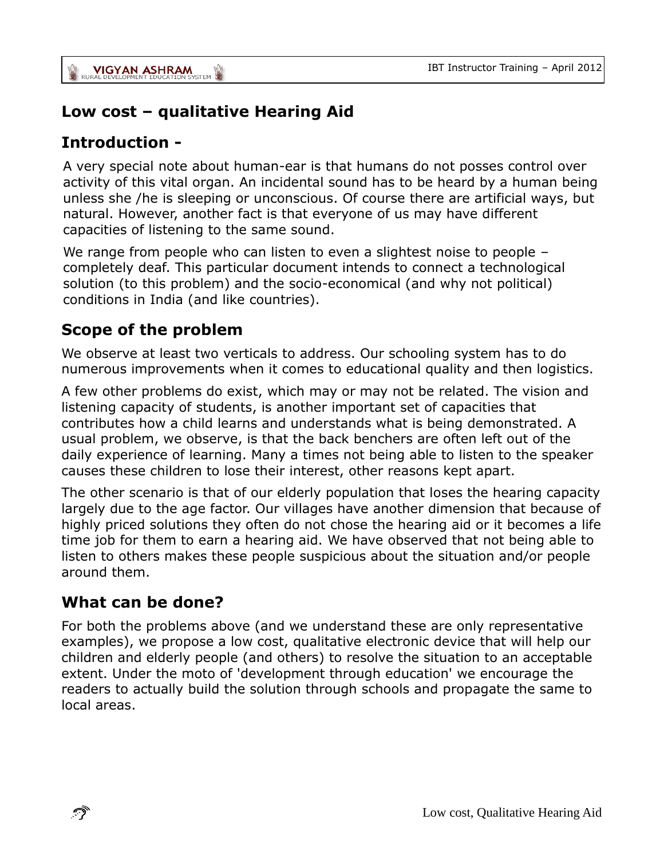# **Low cost – qualitative Hearing Aid**

# **Introduction -**

A very special note about human-ear is that humans do not posses control over activity of this vital organ. An incidental sound has to be heard by a human being unless she /he is sleeping or unconscious. Of course there are artificial ways, but natural. However, another fact is that everyone of us may have different capacities of listening to the same sound.

We range from people who can listen to even a slightest noise to people – completely deaf. This particular document intends to connect a technological solution (to this problem) and the socio-economical (and why not political) conditions in India (and like countries).

# **Scope of the problem**

We observe at least two verticals to address. Our schooling system has to do numerous improvements when it comes to educational quality and then logistics.

A few other problems do exist, which may or may not be related. The vision and listening capacity of students, is another important set of capacities that contributes how a child learns and understands what is being demonstrated. A usual problem, we observe, is that the back benchers are often left out of the daily experience of learning. Many a times not being able to listen to the speaker causes these children to lose their interest, other reasons kept apart.

The other scenario is that of our elderly population that loses the hearing capacity largely due to the age factor. Our villages have another dimension that because of highly priced solutions they often do not chose the hearing aid or it becomes a life time job for them to earn a hearing aid. We have observed that not being able to listen to others makes these people suspicious about the situation and/or people around them.

## **What can be done?**

For both the problems above (and we understand these are only representative examples), we propose a low cost, qualitative electronic device that will help our children and elderly people (and others) to resolve the situation to an acceptable extent. Under the moto of 'development through education' we encourage the readers to actually build the solution through schools and propagate the same to local areas.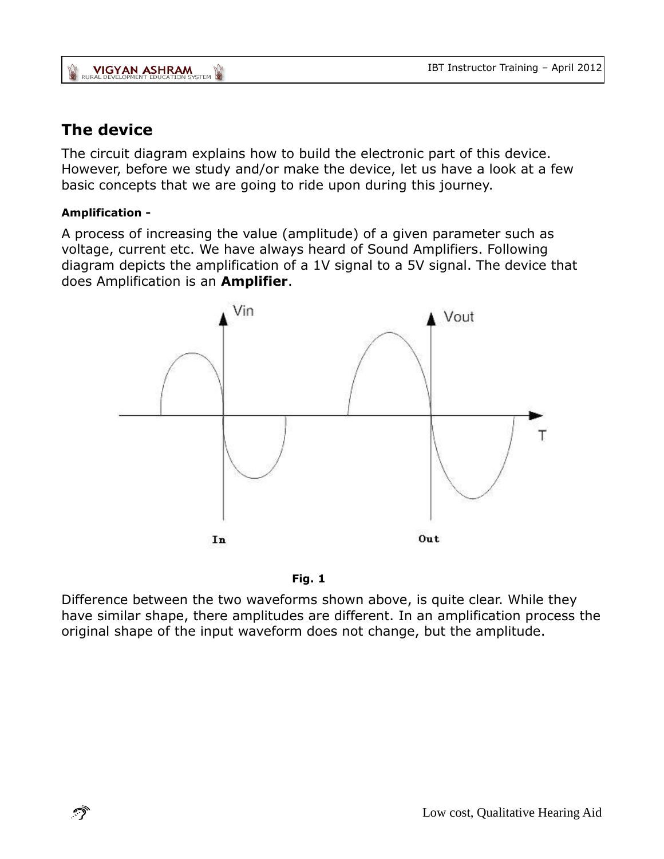# **The device**

The circuit diagram explains how to build the electronic part of this device. However, before we study and/or make the device, let us have a look at a few basic concepts that we are going to ride upon during this journey.

#### **Amplification -**

A process of increasing the value (amplitude) of a given parameter such as voltage, current etc. We have always heard of Sound Amplifiers. Following diagram depicts the amplification of a 1V signal to a 5V signal. The device that does Amplification is an **Amplifier**.





Difference between the two waveforms shown above, is quite clear. While they have similar shape, there amplitudes are different. In an amplification process the original shape of the input waveform does not change, but the amplitude.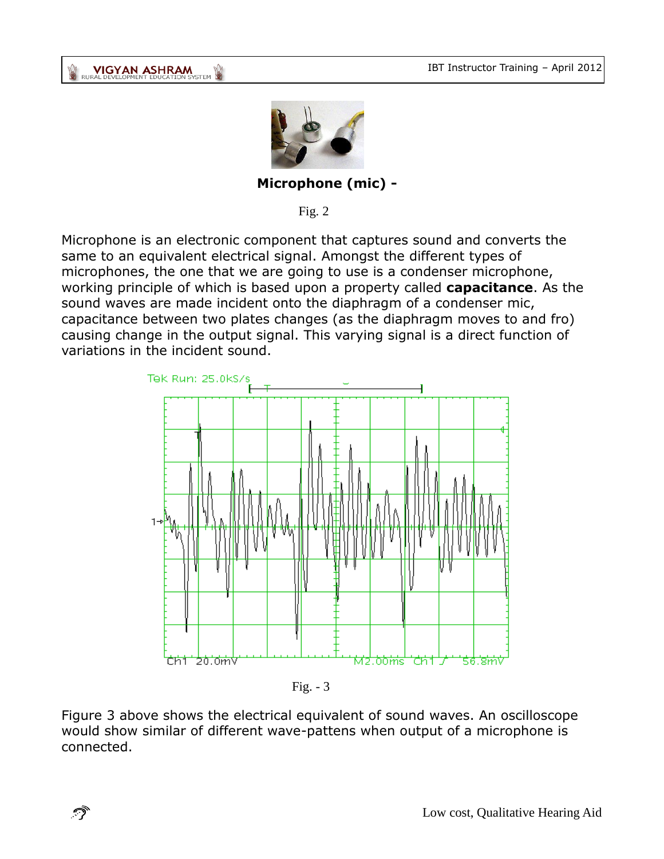

 **Microphone (mic) -**

Fig. 2

Microphone is an electronic component that captures sound and converts the same to an equivalent electrical signal. Amongst the different types of microphones, the one that we are going to use is a condenser microphone, working principle of which is based upon a property called **capacitance**. As the sound waves are made incident onto the diaphragm of a condenser mic, capacitance between two plates changes (as the diaphragm moves to and fro) causing change in the output signal. This varying signal is a direct function of variations in the incident sound.



Fig.  $-3$ 

Figure 3 above shows the electrical equivalent of sound waves. An oscilloscope would show similar of different wave-pattens when output of a microphone is connected.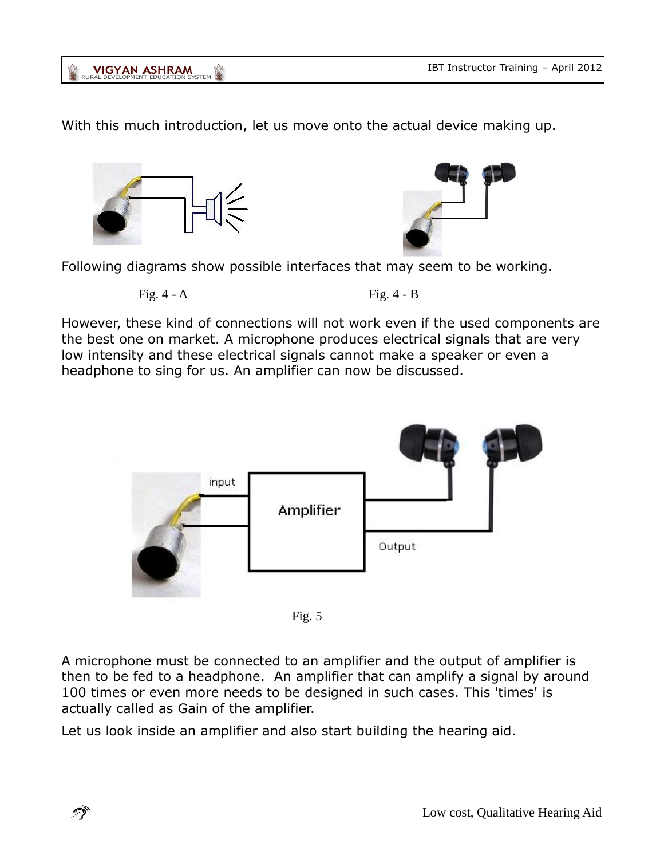With this much introduction, let us move onto the actual device making up.

Following diagrams show possible interfaces that may seem to be working.

Fig.  $4 - A$  Fig.  $4 - B$ 

However, these kind of connections will not work even if the used components are the best one on market. A microphone produces electrical signals that are very low intensity and these electrical signals cannot make a speaker or even a headphone to sing for us. An amplifier can now be discussed.



Let us look inside an amplifier and also start building the hearing aid.





VIGYAN ASHRAM



$$
\widehat{\mathcal{O}}
$$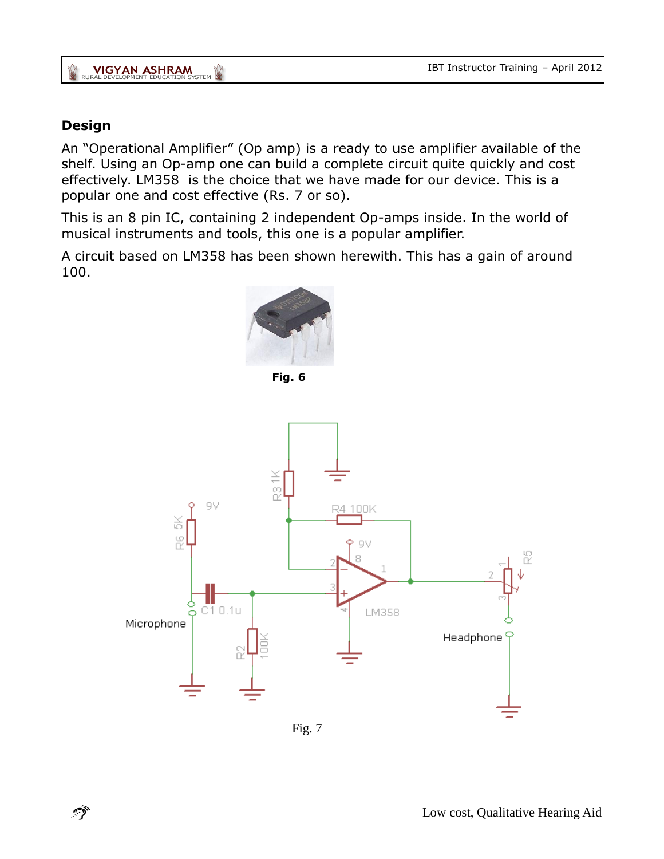## VIGYAN ASHRAM

## **Design**

ొ

An "Operational Amplifier" (Op amp) is a ready to use amplifier available of the shelf. Using an Op-amp one can build a complete circuit quite quickly and cost effectively. LM358 is the choice that we have made for our device. This is a popular one and cost effective (Rs. 7 or so).

This is an 8 pin IC, containing 2 independent Op-amps inside. In the world of musical instruments and tools, this one is a popular amplifier.

A circuit based on LM358 has been shown herewith. This has a gain of around 100.



 **Fig. 6**



Fig. 7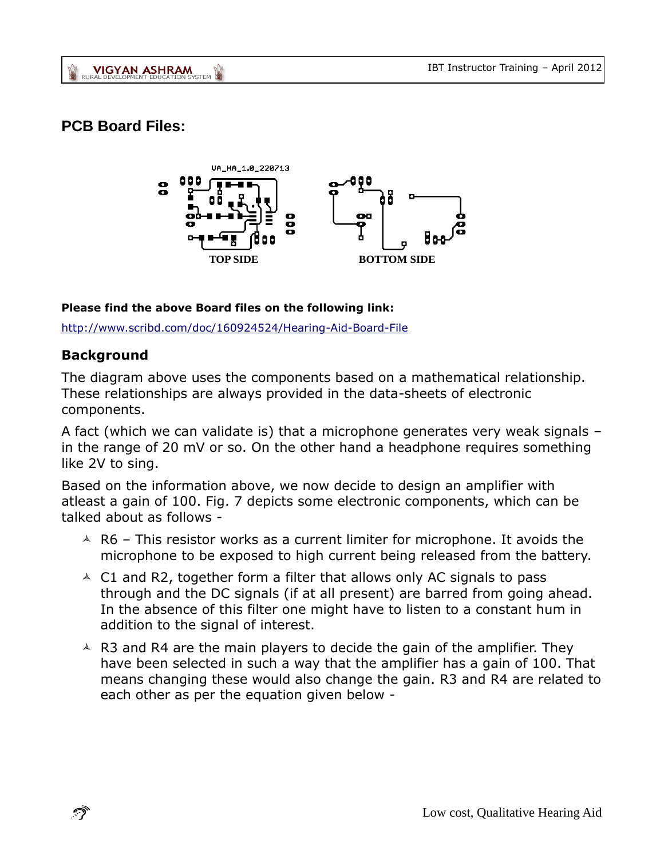## **PCB Board Files:**



#### **Please find the above Board files on the following link:**

<http://www.scribd.com/doc/160924524/Hearing-Aid-Board-File>

### **Background**

The diagram above uses the components based on a mathematical relationship. These relationships are always provided in the data-sheets of electronic components.

A fact (which we can validate is) that a microphone generates very weak signals – in the range of 20 mV or so. On the other hand a headphone requires something like 2V to sing.

Based on the information above, we now decide to design an amplifier with atleast a gain of 100. Fig. 7 depicts some electronic components, which can be talked about as follows -

- $\triangle$  R6 This resistor works as a current limiter for microphone. It avoids the microphone to be exposed to high current being released from the battery.
- $\wedge$  C1 and R2, together form a filter that allows only AC signals to pass through and the DC signals (if at all present) are barred from going ahead. In the absence of this filter one might have to listen to a constant hum in addition to the signal of interest.
- $\triangle$  R3 and R4 are the main players to decide the gain of the amplifier. They have been selected in such a way that the amplifier has a gain of 100. That means changing these would also change the gain. R3 and R4 are related to each other as per the equation given below -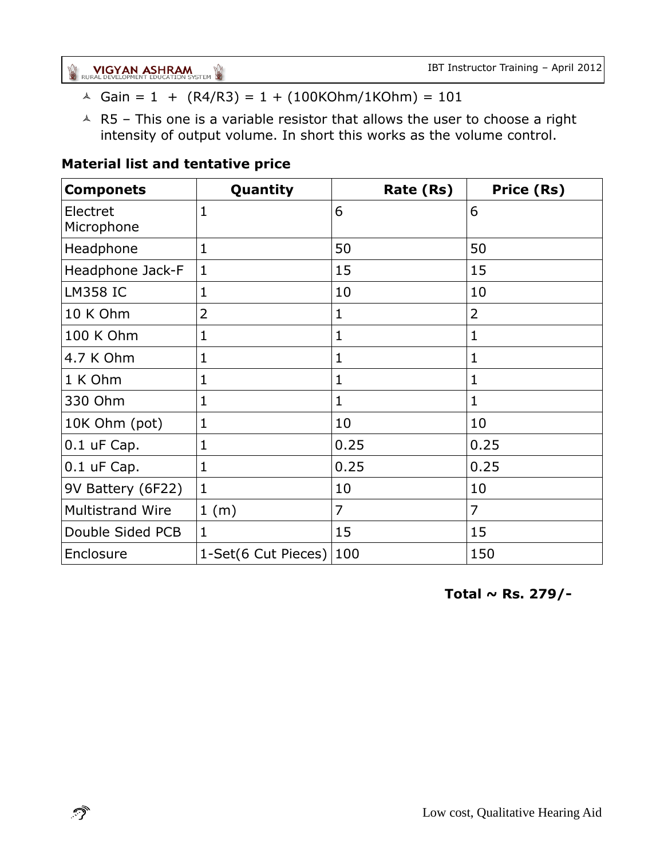**VIGYAN ASHRAM** 

- $\land$  Gain = 1 + (R4/R3) = 1 + (100KOhm/1KOhm) = 101
- $\triangle$  R5 This one is a variable resistor that allows the user to choose a right intensity of output volume. In short this works as the volume control.

### **Material list and tentative price**

| <b>Componets</b>        | Quantity            | Rate (Rs)      | Price (Rs)     |
|-------------------------|---------------------|----------------|----------------|
| Electret<br>Microphone  | $\mathbf{1}$        | 6              | 6              |
| Headphone               | 1                   | 50             | 50             |
| Headphone Jack-F        | 1                   | 15             | 15             |
| <b>LM358 IC</b>         | $\mathbf{1}$        | 10             | 10             |
| <b>10 K Ohm</b>         | 2                   | $\mathbf{1}$   | $\overline{2}$ |
| 100 K Ohm               | 1                   | $\mathbf{1}$   | $\mathbf{1}$   |
| 4.7 K Ohm               | 1                   | $\mathbf{1}$   | 1              |
| 1 K Ohm                 | 1                   | 1              | 1              |
| 330 Ohm                 | 1                   | $\mathbf{1}$   | 1              |
| 10K Ohm (pot)           | 1                   | 10             | 10             |
| $0.1$ uF Cap.           | 1                   | 0.25           | 0.25           |
| $0.1$ uF Cap.           | 1                   | 0.25           | 0.25           |
| 9V Battery (6F22)       | $\mathbf{1}$        | 10             | 10             |
| <b>Multistrand Wire</b> | 1(m)                | $\overline{7}$ | 7              |
| Double Sided PCB        | $\mathbf{1}$        | 15             | 15             |
| Enclosure               | 1-Set(6 Cut Pieces) | 100            | 150            |

**Total ~ Rs. 279/-**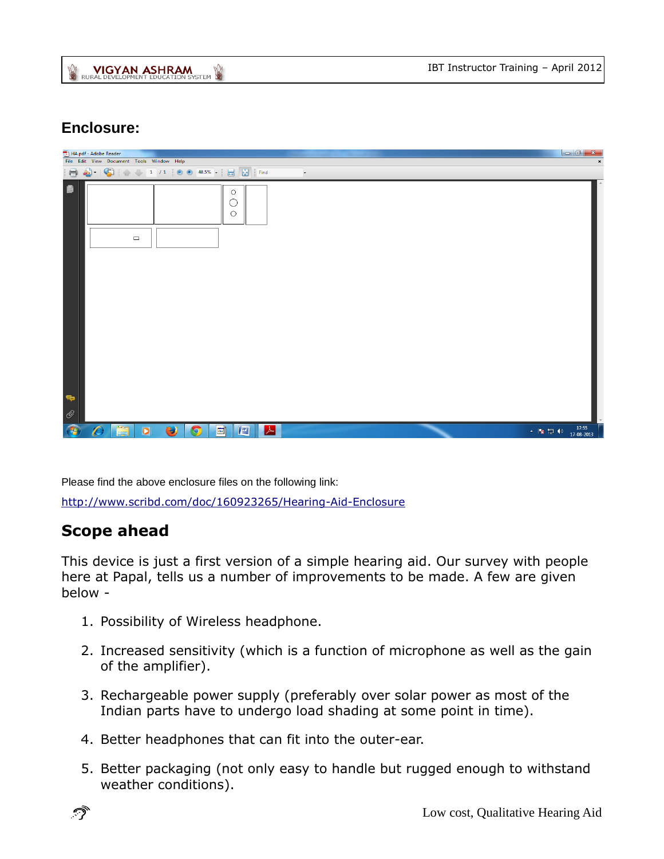# **Enclosure:**

| HA.pdf - Adobe Reader                                                                                                                                                                                                                                                                                                                                                                                                                    |                                                                                            |                          |
|------------------------------------------------------------------------------------------------------------------------------------------------------------------------------------------------------------------------------------------------------------------------------------------------------------------------------------------------------------------------------------------------------------------------------------------|--------------------------------------------------------------------------------------------|--------------------------|
| File Edit View Document Tools Window Help                                                                                                                                                                                                                                                                                                                                                                                                |                                                                                            | $\pmb{\times}$           |
| $\bigcirc$ $\bigcirc$ $\bigcirc$ $\bigcirc$ $\bigcirc$ $\bigcirc$ $\bigcirc$ $\bigcirc$ $\bigcirc$ $\bigcirc$ $\bigcirc$ $\bigcirc$ $\bigcirc$ $\bigcirc$ $\bigcirc$ $\bigcirc$ $\bigcirc$ $\bigcirc$ $\bigcirc$ $\bigcirc$ $\bigcirc$ $\bigcirc$ $\bigcirc$ $\bigcirc$ $\bigcirc$ $\bigcirc$ $\bigcirc$ $\bigcirc$ $\bigcirc$ $\bigcirc$ $\bigcirc$ $\bigcirc$ $\bigcirc$ $\bigcirc$ $\bigcirc$ $\bigcirc$ $\bigcirc$<br>$\blacksquare$ | $\overline{\phantom{a}}$ Find<br>$\overline{\phantom{a}}$                                  |                          |
| 重<br>$\qquad \qquad \Box$<br><b>Sp</b>                                                                                                                                                                                                                                                                                                                                                                                                   | $\bigcirc$<br>С<br>О                                                                       |                          |
| $\mathcal O$<br>$\overline{P}$<br>ã<br>$\bullet$<br>$\bullet$<br>C<br>O                                                                                                                                                                                                                                                                                                                                                                  | $\frac{17:55}{17-08-2013}$<br>$\Box$<br>$\blacktriangleright$<br>$\mathbb{Z}$<br>▲ 隊 御 (※) | $\overline{\phantom{a}}$ |

Please find the above enclosure files on the following link: <http://www.scribd.com/doc/160923265/Hearing-Aid-Enclosure>

# **Scope ahead**

This device is just a first version of a simple hearing aid. Our survey with people here at Papal, tells us a number of improvements to be made. A few are given below -

- 1. Possibility of Wireless headphone.
- 2. Increased sensitivity (which is a function of microphone as well as the gain of the amplifier).
- 3. Rechargeable power supply (preferably over solar power as most of the Indian parts have to undergo load shading at some point in time).
- 4. Better headphones that can fit into the outer-ear.
- 5. Better packaging (not only easy to handle but rugged enough to withstand weather conditions).